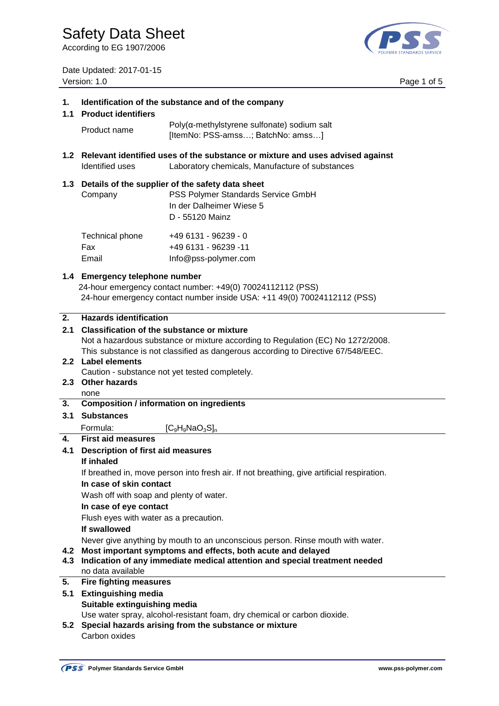According to EG 1907/2006

Date Updated: 2017-01-15 Version: 1.0 Page 1 of 5



| 1.<br>1.1  | Identification of the substance and of the company<br><b>Product identifiers</b>                                                                                         |                                                                                                                                       |  |  |  |
|------------|--------------------------------------------------------------------------------------------------------------------------------------------------------------------------|---------------------------------------------------------------------------------------------------------------------------------------|--|--|--|
|            | Product name                                                                                                                                                             | $Poly(\alpha$ -methylstyrene sulfonate) sodium salt<br>[ItemNo: PSS-amss; BatchNo: amss]                                              |  |  |  |
| 1.2        | Relevant identified uses of the substance or mixture and uses advised against<br>Identified uses<br>Laboratory chemicals, Manufacture of substances                      |                                                                                                                                       |  |  |  |
| 1.3        | Company                                                                                                                                                                  | Details of the supplier of the safety data sheet<br>PSS Polymer Standards Service GmbH<br>In der Dalheimer Wiese 5<br>D - 55120 Mainz |  |  |  |
|            | Technical phone<br>Fax<br>Email                                                                                                                                          | +49 6131 - 96239 - 0<br>+49 6131 - 96239 -11<br>Info@pss-polymer.com                                                                  |  |  |  |
|            | 1.4 Emergency telephone number<br>24-hour emergency contact number: +49(0) 70024112112 (PSS)<br>24-hour emergency contact number inside USA: +11 49(0) 70024112112 (PSS) |                                                                                                                                       |  |  |  |
| 2.         | <b>Hazards identification</b>                                                                                                                                            |                                                                                                                                       |  |  |  |
| 2.1        | <b>Classification of the substance or mixture</b>                                                                                                                        |                                                                                                                                       |  |  |  |
|            |                                                                                                                                                                          | Not a hazardous substance or mixture according to Regulation (EC) No 1272/2008.                                                       |  |  |  |
|            |                                                                                                                                                                          | This substance is not classified as dangerous according to Directive 67/548/EEC.                                                      |  |  |  |
|            | 2.2 Label elements                                                                                                                                                       |                                                                                                                                       |  |  |  |
|            | Caution - substance not yet tested completely.                                                                                                                           |                                                                                                                                       |  |  |  |
|            | 2.3 Other hazards                                                                                                                                                        |                                                                                                                                       |  |  |  |
|            | none                                                                                                                                                                     |                                                                                                                                       |  |  |  |
| 3.         | <b>Composition / information on ingredients</b>                                                                                                                          |                                                                                                                                       |  |  |  |
| 3.1        | <b>Substances</b>                                                                                                                                                        |                                                                                                                                       |  |  |  |
|            |                                                                                                                                                                          |                                                                                                                                       |  |  |  |
|            | Formula:                                                                                                                                                                 | $[C_9H_9NaO_3S]_n$                                                                                                                    |  |  |  |
| 4.         | <b>First aid measures</b>                                                                                                                                                |                                                                                                                                       |  |  |  |
| 4.1        | <b>Description of first aid measures</b>                                                                                                                                 |                                                                                                                                       |  |  |  |
|            | If inhaled                                                                                                                                                               |                                                                                                                                       |  |  |  |
|            | If breathed in, move person into fresh air. If not breathing, give artificial respiration.                                                                               |                                                                                                                                       |  |  |  |
|            | In case of skin contact                                                                                                                                                  |                                                                                                                                       |  |  |  |
|            | Wash off with soap and plenty of water.                                                                                                                                  |                                                                                                                                       |  |  |  |
|            | In case of eye contact                                                                                                                                                   |                                                                                                                                       |  |  |  |
|            | Flush eyes with water as a precaution.                                                                                                                                   |                                                                                                                                       |  |  |  |
|            | If swallowed                                                                                                                                                             |                                                                                                                                       |  |  |  |
| 4.2<br>4.3 | Never give anything by mouth to an unconscious person. Rinse mouth with water.<br>Most important symptoms and effects, both acute and delayed                            |                                                                                                                                       |  |  |  |
|            | Indication of any immediate medical attention and special treatment needed<br>no data available                                                                          |                                                                                                                                       |  |  |  |
| 5.         | <b>Fire fighting measures</b>                                                                                                                                            |                                                                                                                                       |  |  |  |
| 5.1        | <b>Extinguishing media</b>                                                                                                                                               |                                                                                                                                       |  |  |  |
|            | Suitable extinguishing media                                                                                                                                             |                                                                                                                                       |  |  |  |
|            |                                                                                                                                                                          | Use water spray, alcohol-resistant foam, dry chemical or carbon dioxide.                                                              |  |  |  |
|            | ananga asiaing framula ang ang                                                                                                                                           |                                                                                                                                       |  |  |  |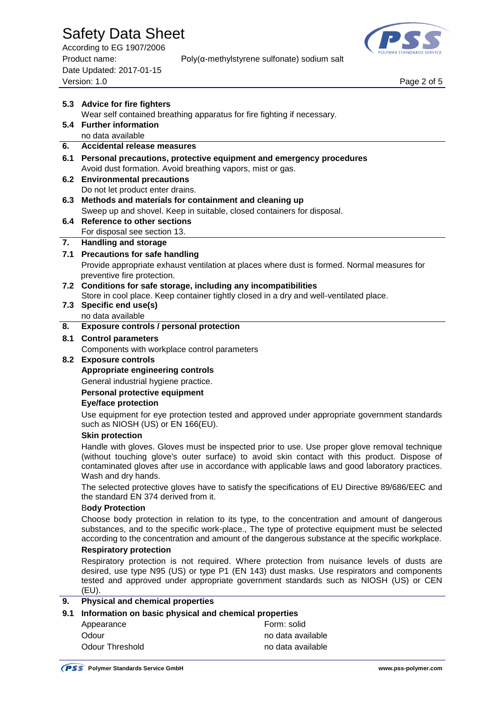According to EG 1907/2006 Date Updated: 2017-01-15 Page 2 of 5<br>Version: 1.0 Page 2 of 5



|                                                              | 5.3 Advice for fire fighters                                                                                                                                                                                                                                                                                            |                                                                                             |  |  |  |
|--------------------------------------------------------------|-------------------------------------------------------------------------------------------------------------------------------------------------------------------------------------------------------------------------------------------------------------------------------------------------------------------------|---------------------------------------------------------------------------------------------|--|--|--|
|                                                              | Wear self contained breathing apparatus for fire fighting if necessary.                                                                                                                                                                                                                                                 |                                                                                             |  |  |  |
| 5.4                                                          | <b>Further information</b>                                                                                                                                                                                                                                                                                              |                                                                                             |  |  |  |
|                                                              | no data available                                                                                                                                                                                                                                                                                                       |                                                                                             |  |  |  |
| 6.                                                           | <b>Accidental release measures</b>                                                                                                                                                                                                                                                                                      |                                                                                             |  |  |  |
| 6.1                                                          |                                                                                                                                                                                                                                                                                                                         | Personal precautions, protective equipment and emergency procedures                         |  |  |  |
| 6.2                                                          | Avoid dust formation. Avoid breathing vapors, mist or gas.                                                                                                                                                                                                                                                              |                                                                                             |  |  |  |
|                                                              | <b>Environmental precautions</b><br>Do not let product enter drains.                                                                                                                                                                                                                                                    |                                                                                             |  |  |  |
| 6.3                                                          | Methods and materials for containment and cleaning up                                                                                                                                                                                                                                                                   |                                                                                             |  |  |  |
|                                                              | Sweep up and shovel. Keep in suitable, closed containers for disposal.                                                                                                                                                                                                                                                  |                                                                                             |  |  |  |
| 6.4                                                          | <b>Reference to other sections</b>                                                                                                                                                                                                                                                                                      |                                                                                             |  |  |  |
|                                                              | For disposal see section 13.                                                                                                                                                                                                                                                                                            |                                                                                             |  |  |  |
| 7.                                                           | <b>Handling and storage</b>                                                                                                                                                                                                                                                                                             |                                                                                             |  |  |  |
| 7.1                                                          | <b>Precautions for safe handling</b>                                                                                                                                                                                                                                                                                    |                                                                                             |  |  |  |
|                                                              |                                                                                                                                                                                                                                                                                                                         | Provide appropriate exhaust ventilation at places where dust is formed. Normal measures for |  |  |  |
|                                                              | preventive fire protection.                                                                                                                                                                                                                                                                                             |                                                                                             |  |  |  |
| 7.2                                                          | Conditions for safe storage, including any incompatibilities                                                                                                                                                                                                                                                            |                                                                                             |  |  |  |
|                                                              |                                                                                                                                                                                                                                                                                                                         | Store in cool place. Keep container tightly closed in a dry and well-ventilated place.      |  |  |  |
| 7.3                                                          | Specific end use(s)<br>no data available                                                                                                                                                                                                                                                                                |                                                                                             |  |  |  |
| 8.                                                           | <b>Exposure controls / personal protection</b>                                                                                                                                                                                                                                                                          |                                                                                             |  |  |  |
| 8.1                                                          | <b>Control parameters</b>                                                                                                                                                                                                                                                                                               |                                                                                             |  |  |  |
|                                                              | Components with workplace control parameters                                                                                                                                                                                                                                                                            |                                                                                             |  |  |  |
|                                                              | 8.2 Exposure controls                                                                                                                                                                                                                                                                                                   |                                                                                             |  |  |  |
|                                                              | Appropriate engineering controls                                                                                                                                                                                                                                                                                        |                                                                                             |  |  |  |
|                                                              | General industrial hygiene practice.                                                                                                                                                                                                                                                                                    |                                                                                             |  |  |  |
|                                                              | Personal protective equipment                                                                                                                                                                                                                                                                                           |                                                                                             |  |  |  |
|                                                              | <b>Eye/face protection</b>                                                                                                                                                                                                                                                                                              |                                                                                             |  |  |  |
|                                                              |                                                                                                                                                                                                                                                                                                                         | Use equipment for eye protection tested and approved under appropriate government standards |  |  |  |
|                                                              | such as NIOSH (US) or EN 166(EU).                                                                                                                                                                                                                                                                                       |                                                                                             |  |  |  |
|                                                              | <b>Skin protection</b>                                                                                                                                                                                                                                                                                                  |                                                                                             |  |  |  |
|                                                              | Handle with gloves. Gloves must be inspected prior to use. Use proper glove removal technique<br>(without touching glove's outer surface) to avoid skin contact with this product. Dispose of<br>contaminated gloves after use in accordance with applicable laws and good laboratory practices.<br>Wash and dry hands. |                                                                                             |  |  |  |
|                                                              | The selected protective gloves have to satisfy the specifications of EU Directive 89/686/EEC and<br>the standard EN 374 derived from it.                                                                                                                                                                                |                                                                                             |  |  |  |
|                                                              | <b>Body Protection</b>                                                                                                                                                                                                                                                                                                  |                                                                                             |  |  |  |
|                                                              | Choose body protection in relation to its type, to the concentration and amount of dangerous<br>substances, and to the specific work-place., The type of protective equipment must be selected<br>according to the concentration and amount of the dangerous substance at the specific workplace.                       |                                                                                             |  |  |  |
|                                                              | <b>Respiratory protection</b>                                                                                                                                                                                                                                                                                           |                                                                                             |  |  |  |
|                                                              | Respiratory protection is not required. Where protection from nuisance levels of dusts are<br>desired, use type N95 (US) or type P1 (EN 143) dust masks. Use respirators and components<br>tested and approved under appropriate government standards such as NIOSH (US) or CEN<br>(EU).                                |                                                                                             |  |  |  |
| 9.                                                           | <b>Physical and chemical properties</b>                                                                                                                                                                                                                                                                                 |                                                                                             |  |  |  |
| Information on basic physical and chemical properties<br>9.1 |                                                                                                                                                                                                                                                                                                                         |                                                                                             |  |  |  |
|                                                              | Appearance                                                                                                                                                                                                                                                                                                              | Form: solid                                                                                 |  |  |  |
|                                                              | Odour                                                                                                                                                                                                                                                                                                                   | no data available                                                                           |  |  |  |
|                                                              | <b>Odour Threshold</b>                                                                                                                                                                                                                                                                                                  | no data available                                                                           |  |  |  |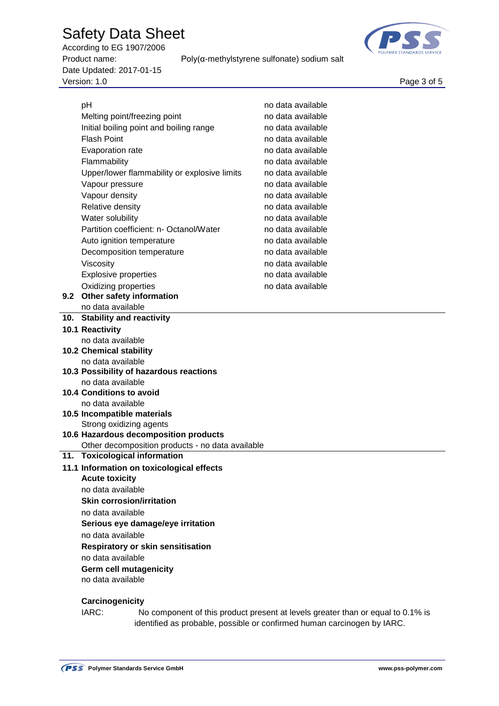According to EG 1907/2006 Product name: Poly(α-methylstyrene sulfonate) sodium salt Date Updated: 2017-01-15 Page 3 of 5<br>Version: 1.0 Page 3 of 5



|         | pH                                               | no data available |  |  |  |  |
|---------|--------------------------------------------------|-------------------|--|--|--|--|
|         | Melting point/freezing point                     | no data available |  |  |  |  |
|         | Initial boiling point and boiling range          | no data available |  |  |  |  |
|         | <b>Flash Point</b>                               | no data available |  |  |  |  |
|         | Evaporation rate                                 | no data available |  |  |  |  |
|         | Flammability                                     | no data available |  |  |  |  |
|         | Upper/lower flammability or explosive limits     | no data available |  |  |  |  |
|         | Vapour pressure                                  | no data available |  |  |  |  |
|         | Vapour density                                   | no data available |  |  |  |  |
|         | Relative density                                 | no data available |  |  |  |  |
|         | Water solubility                                 | no data available |  |  |  |  |
|         | Partition coefficient: n- Octanol/Water          | no data available |  |  |  |  |
|         |                                                  |                   |  |  |  |  |
|         | Auto ignition temperature                        | no data available |  |  |  |  |
|         | Decomposition temperature                        | no data available |  |  |  |  |
|         | Viscosity                                        | no data available |  |  |  |  |
|         | <b>Explosive properties</b>                      | no data available |  |  |  |  |
|         | Oxidizing properties                             | no data available |  |  |  |  |
| $9.2\,$ | Other safety information                         |                   |  |  |  |  |
|         | no data available                                |                   |  |  |  |  |
| 10.     | <b>Stability and reactivity</b>                  |                   |  |  |  |  |
|         | 10.1 Reactivity<br>no data available             |                   |  |  |  |  |
|         | <b>10.2 Chemical stability</b>                   |                   |  |  |  |  |
|         | no data available                                |                   |  |  |  |  |
|         | 10.3 Possibility of hazardous reactions          |                   |  |  |  |  |
|         | no data available                                |                   |  |  |  |  |
|         | <b>10.4 Conditions to avoid</b>                  |                   |  |  |  |  |
|         | no data available                                |                   |  |  |  |  |
|         | 10.5 Incompatible materials                      |                   |  |  |  |  |
|         | Strong oxidizing agents                          |                   |  |  |  |  |
|         | 10.6 Hazardous decomposition products            |                   |  |  |  |  |
|         | Other decomposition products - no data available |                   |  |  |  |  |
|         | 11. Toxicological information                    |                   |  |  |  |  |
|         | 11.1 Information on toxicological effects        |                   |  |  |  |  |
|         | <b>Acute toxicity</b>                            |                   |  |  |  |  |
|         | no data available                                |                   |  |  |  |  |
|         | <b>Skin corrosion/irritation</b>                 |                   |  |  |  |  |
|         | no data available                                |                   |  |  |  |  |
|         | Serious eye damage/eye irritation                |                   |  |  |  |  |
|         | no data available                                |                   |  |  |  |  |
|         | <b>Respiratory or skin sensitisation</b>         |                   |  |  |  |  |
|         | no data available                                |                   |  |  |  |  |
|         | Germ cell mutagenicity                           |                   |  |  |  |  |
|         | no data available                                |                   |  |  |  |  |
|         |                                                  |                   |  |  |  |  |
|         | Carcinogenicity                                  |                   |  |  |  |  |
|         |                                                  |                   |  |  |  |  |

IARC: No component of this product present at levels greater than or equal to 0.1% is identified as probable, possible or confirmed human carcinogen by IARC.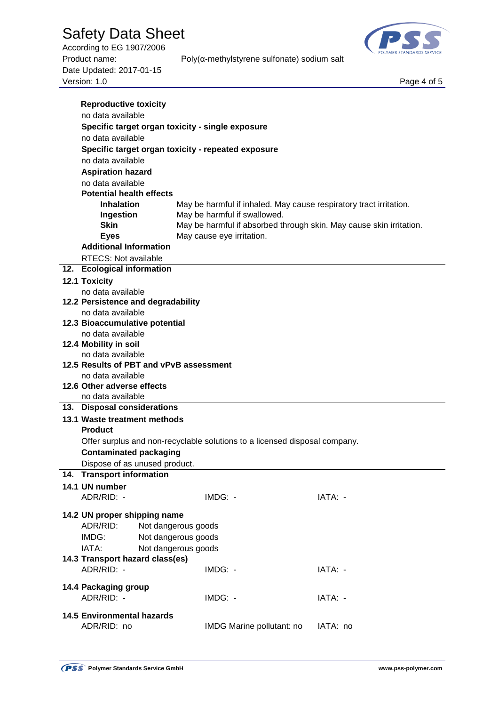According to EG 1907/2006 Date Updated: 2017-01-15 Page 4 of 5<br>Version: 1.0 Page 4 of 5



Product name: Poly(α-methylstyrene sulfonate) sodium salt

|     | <b>Reproductive toxicity</b>                     |                                                                            |          |  |  |  |
|-----|--------------------------------------------------|----------------------------------------------------------------------------|----------|--|--|--|
|     | no data available                                |                                                                            |          |  |  |  |
|     | Specific target organ toxicity - single exposure |                                                                            |          |  |  |  |
|     | no data available                                |                                                                            |          |  |  |  |
|     |                                                  | Specific target organ toxicity - repeated exposure                         |          |  |  |  |
|     | no data available                                |                                                                            |          |  |  |  |
|     | <b>Aspiration hazard</b>                         |                                                                            |          |  |  |  |
|     | no data available                                |                                                                            |          |  |  |  |
|     | <b>Potential health effects</b>                  |                                                                            |          |  |  |  |
|     | <b>Inhalation</b>                                | May be harmful if inhaled. May cause respiratory tract irritation.         |          |  |  |  |
|     | Ingestion                                        | May be harmful if swallowed.                                               |          |  |  |  |
|     | <b>Skin</b>                                      | May be harmful if absorbed through skin. May cause skin irritation.        |          |  |  |  |
|     | <b>Eyes</b>                                      | May cause eye irritation.                                                  |          |  |  |  |
|     | <b>Additional Information</b>                    |                                                                            |          |  |  |  |
|     | <b>RTECS: Not available</b>                      |                                                                            |          |  |  |  |
|     | 12. Ecological information                       |                                                                            |          |  |  |  |
|     | <b>12.1 Toxicity</b>                             |                                                                            |          |  |  |  |
|     | no data available                                |                                                                            |          |  |  |  |
|     | 12.2 Persistence and degradability               |                                                                            |          |  |  |  |
|     | no data available                                |                                                                            |          |  |  |  |
|     | 12.3 Bioaccumulative potential                   |                                                                            |          |  |  |  |
|     | no data available                                |                                                                            |          |  |  |  |
|     | 12.4 Mobility in soil                            |                                                                            |          |  |  |  |
|     | no data available                                |                                                                            |          |  |  |  |
|     | 12.5 Results of PBT and vPvB assessment          |                                                                            |          |  |  |  |
|     | no data available                                |                                                                            |          |  |  |  |
|     | 12.6 Other adverse effects                       |                                                                            |          |  |  |  |
|     | no data available                                |                                                                            |          |  |  |  |
| 13. | <b>Disposal considerations</b>                   |                                                                            |          |  |  |  |
|     | 13.1 Waste treatment methods                     |                                                                            |          |  |  |  |
|     | <b>Product</b>                                   |                                                                            |          |  |  |  |
|     |                                                  | Offer surplus and non-recyclable solutions to a licensed disposal company. |          |  |  |  |
|     | <b>Contaminated packaging</b>                    |                                                                            |          |  |  |  |
|     | Dispose of as unused product.                    |                                                                            |          |  |  |  |
|     | 14. Transport information                        |                                                                            |          |  |  |  |
|     | 14.1 UN number                                   |                                                                            |          |  |  |  |
|     | ADR/RID: -                                       | IMDG: -                                                                    | IATA: -  |  |  |  |
|     | 14.2 UN proper shipping name                     |                                                                            |          |  |  |  |
|     | ADR/RID:                                         | Not dangerous goods                                                        |          |  |  |  |
|     | IMDG:                                            | Not dangerous goods                                                        |          |  |  |  |
|     | IATA:                                            | Not dangerous goods                                                        |          |  |  |  |
|     | 14.3 Transport hazard class(es)                  |                                                                            |          |  |  |  |
|     | ADR/RID: -                                       | IMDG: -                                                                    | IATA: -  |  |  |  |
|     |                                                  |                                                                            |          |  |  |  |
|     | 14.4 Packaging group                             |                                                                            |          |  |  |  |
|     | ADR/RID: -                                       | IMDG: -                                                                    | IATA: -  |  |  |  |
|     | <b>14.5 Environmental hazards</b>                |                                                                            |          |  |  |  |
|     | ADR/RID: no                                      | IMDG Marine pollutant: no                                                  | IATA: no |  |  |  |
|     |                                                  |                                                                            |          |  |  |  |